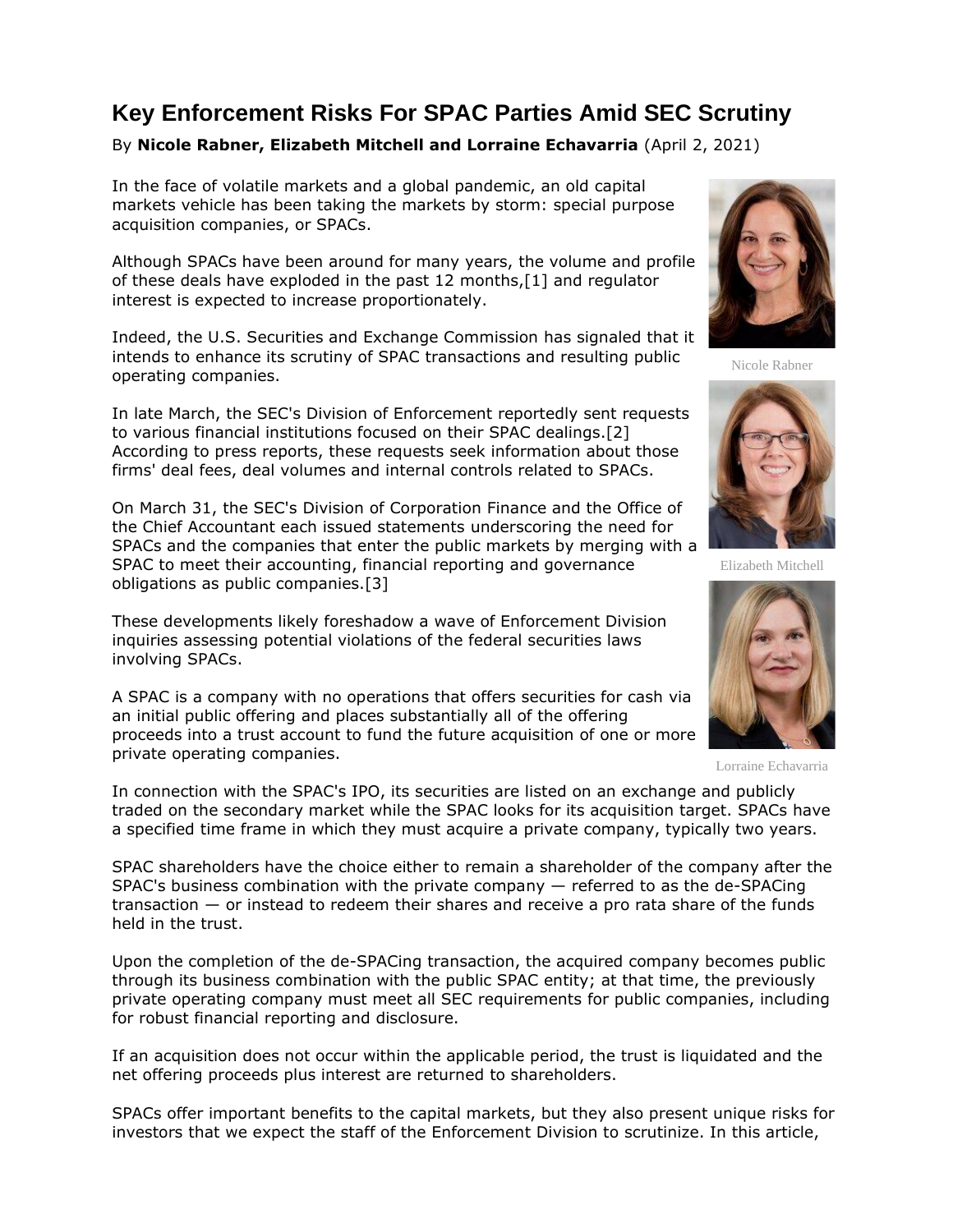# **Key Enforcement Risks For SPAC Parties Amid SEC Scrutiny**

## By **Nicole Rabner, Elizabeth Mitchell and Lorraine Echavarria** (April 2, 2021)

In the face of volatile markets and a global pandemic, an old capital markets vehicle has been taking the markets by storm: special purpose acquisition companies, or SPACs.

Although SPACs have been around for many years, the volume and profile of these deals have exploded in the past 12 months,[1] and regulator interest is expected to increase proportionately.

Indeed, the [U.S. Securities and Exchange Commission](https://www.law360.com/agencies/u-s-securities-and-exchange-commission) has signaled that it intends to enhance its scrutiny of SPAC transactions and resulting public operating companies.

In late March, the SEC's Division of Enforcement reportedly sent requests to various financial institutions focused on their SPAC dealings.[2] According to press reports, these requests seek information about those firms' deal fees, deal volumes and internal controls related to SPACs.

On March 31, the SEC's Division of Corporation Finance and the Office of the Chief Accountant each issued statements underscoring the need for SPACs and the companies that enter the public markets by merging with a SPAC to meet their accounting, financial reporting and governance obligations as public companies.[3]

These developments likely foreshadow a wave of Enforcement Division inquiries assessing potential violations of the federal securities laws involving SPACs.

A SPAC is a company with no operations that offers securities for cash via an initial public offering and places substantially all of the offering proceeds into a trust account to fund the future acquisition of one or more private operating companies.



Nicole Rabner



Elizabeth Mitchell



Lorraine Echavarria

In connection with the SPAC's IPO, its securities are listed on an exchange and publicly traded on the secondary market while the SPAC looks for its acquisition target. SPACs have a specified time frame in which they must acquire a private company, typically two years.

SPAC shareholders have the choice either to remain a shareholder of the company after the SPAC's business combination with the private company — referred to as the de-SPACing transaction — or instead to redeem their shares and receive a pro rata share of the funds held in the trust.

Upon the completion of the de-SPACing transaction, the acquired company becomes public through its business combination with the public SPAC entity; at that time, the previously private operating company must meet all SEC requirements for public companies, including for robust financial reporting and disclosure.

If an acquisition does not occur within the applicable period, the trust is liquidated and the net offering proceeds plus interest are returned to shareholders.

SPACs offer important benefits to the capital markets, but they also present unique risks for investors that we expect the staff of the Enforcement Division to scrutinize. In this article,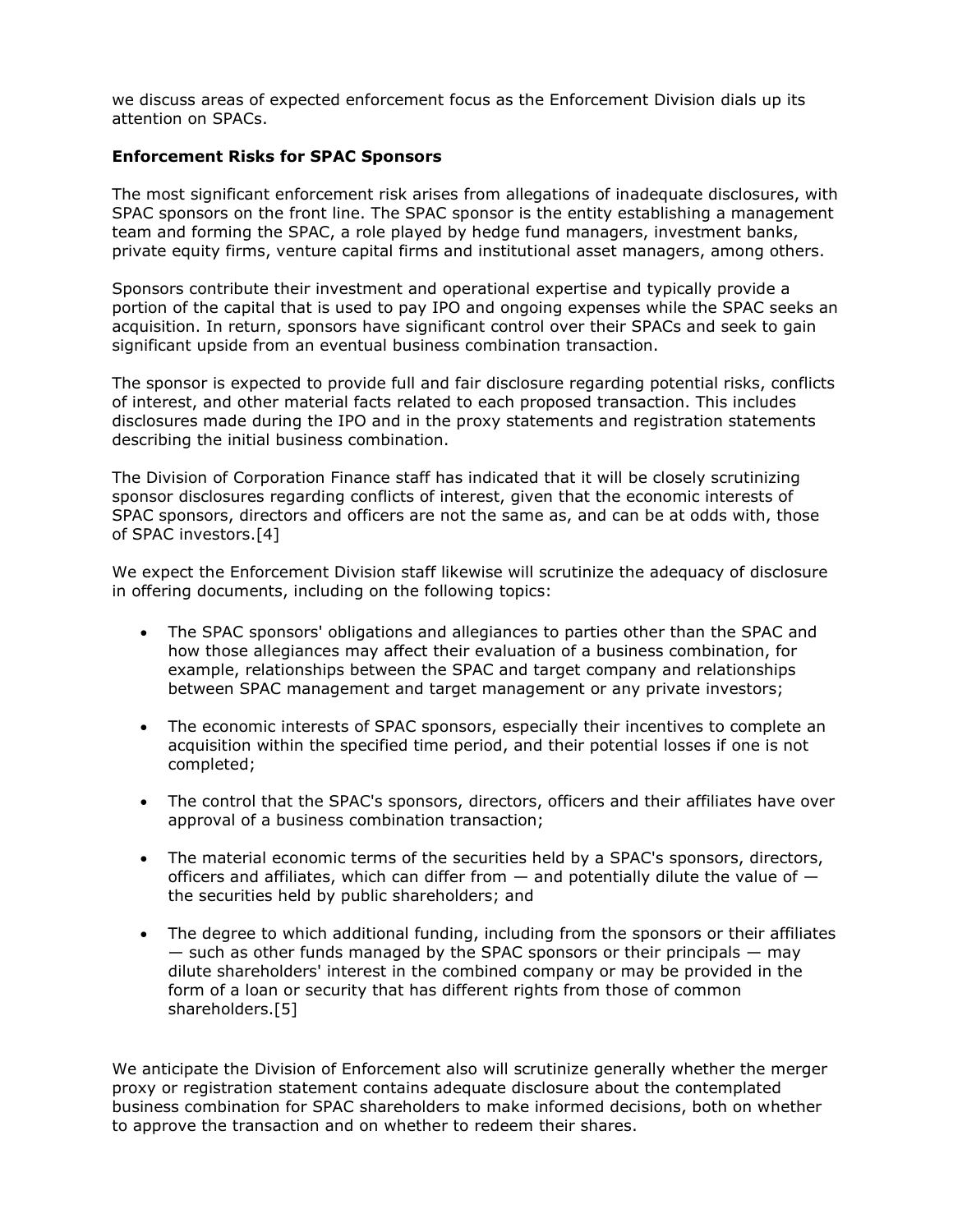we discuss areas of expected enforcement focus as the Enforcement Division dials up its attention on SPACs.

## **Enforcement Risks for SPAC Sponsors**

The most significant enforcement risk arises from allegations of inadequate disclosures, with SPAC sponsors on the front line. The SPAC sponsor is the entity establishing a management team and forming the SPAC, a role played by hedge fund managers, investment banks, private equity firms, venture capital firms and institutional asset managers, among others.

Sponsors contribute their investment and operational expertise and typically provide a portion of the capital that is used to pay IPO and ongoing expenses while the SPAC seeks an acquisition. In return, sponsors have significant control over their SPACs and seek to gain significant upside from an eventual business combination transaction.

The sponsor is expected to provide full and fair disclosure regarding potential risks, conflicts of interest, and other material facts related to each proposed transaction. This includes disclosures made during the IPO and in the proxy statements and registration statements describing the initial business combination.

The Division of Corporation Finance staff has indicated that it will be closely scrutinizing sponsor disclosures regarding conflicts of interest, given that the economic interests of SPAC sponsors, directors and officers are not the same as, and can be at odds with, those of SPAC investors.[4]

We expect the Enforcement Division staff likewise will scrutinize the adequacy of disclosure in offering documents, including on the following topics:

- The SPAC sponsors' obligations and allegiances to parties other than the SPAC and how those allegiances may affect their evaluation of a business combination, for example, relationships between the SPAC and target company and relationships between SPAC management and target management or any private investors;
- The economic interests of SPAC sponsors, especially their incentives to complete an acquisition within the specified time period, and their potential losses if one is not completed;
- The control that the SPAC's sponsors, directors, officers and their affiliates have over approval of a business combination transaction;
- The material economic terms of the securities held by a SPAC's sponsors, directors, officers and affiliates, which can differ from  $-$  and potentially dilute the value of  $$ the securities held by public shareholders; and
- The degree to which additional funding, including from the sponsors or their affiliates  $-$  such as other funds managed by the SPAC sponsors or their principals  $-$  may dilute shareholders' interest in the combined company or may be provided in the form of a loan or security that has different rights from those of common shareholders.[5]

We anticipate the Division of Enforcement also will scrutinize generally whether the merger proxy or registration statement contains adequate disclosure about the contemplated business combination for SPAC shareholders to make informed decisions, both on whether to approve the transaction and on whether to redeem their shares.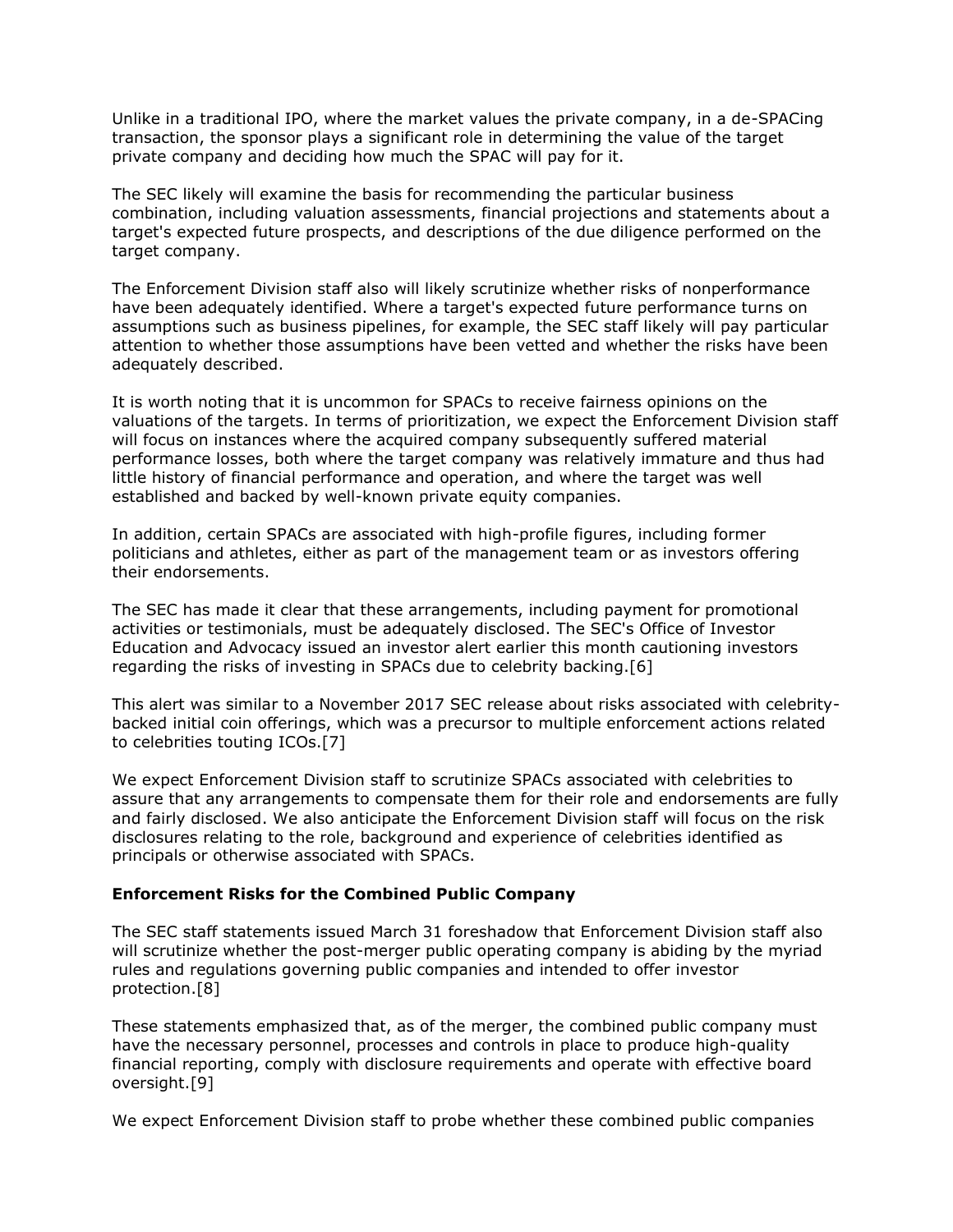Unlike in a traditional IPO, where the market values the private company, in a de-SPACing transaction, the sponsor plays a significant role in determining the value of the target private company and deciding how much the SPAC will pay for it.

The SEC likely will examine the basis for recommending the particular business combination, including valuation assessments, financial projections and statements about a target's expected future prospects, and descriptions of the due diligence performed on the target company.

The Enforcement Division staff also will likely scrutinize whether risks of nonperformance have been adequately identified. Where a target's expected future performance turns on assumptions such as business pipelines, for example, the SEC staff likely will pay particular attention to whether those assumptions have been vetted and whether the risks have been adequately described.

It is worth noting that it is uncommon for SPACs to receive fairness opinions on the valuations of the targets. In terms of prioritization, we expect the Enforcement Division staff will focus on instances where the acquired company subsequently suffered material performance losses, both where the target company was relatively immature and thus had little history of financial performance and operation, and where the target was well established and backed by well-known private equity companies.

In addition, certain SPACs are associated with high-profile figures, including former politicians and athletes, either as part of the management team or as investors offering their endorsements.

The SEC has made it clear that these arrangements, including payment for promotional activities or testimonials, must be adequately disclosed. The SEC's Office of Investor Education and Advocacy issued an investor alert earlier this month cautioning investors regarding the risks of investing in SPACs due to celebrity backing.[6]

This alert was similar to a November 2017 SEC release about risks associated with celebritybacked initial coin offerings, which was a precursor to multiple enforcement actions related to celebrities touting ICOs.[7]

We expect Enforcement Division staff to scrutinize SPACs associated with celebrities to assure that any arrangements to compensate them for their role and endorsements are fully and fairly disclosed. We also anticipate the Enforcement Division staff will focus on the risk disclosures relating to the role, background and experience of celebrities identified as principals or otherwise associated with SPACs.

#### **Enforcement Risks for the Combined Public Company**

The SEC staff statements issued March 31 foreshadow that Enforcement Division staff also will scrutinize whether the post-merger public operating company is abiding by the myriad rules and regulations governing public companies and intended to offer investor protection.[8]

These statements emphasized that, as of the merger, the combined public company must have the necessary personnel, processes and controls in place to produce high-quality financial reporting, comply with disclosure requirements and operate with effective board oversight.[9]

We expect Enforcement Division staff to probe whether these combined public companies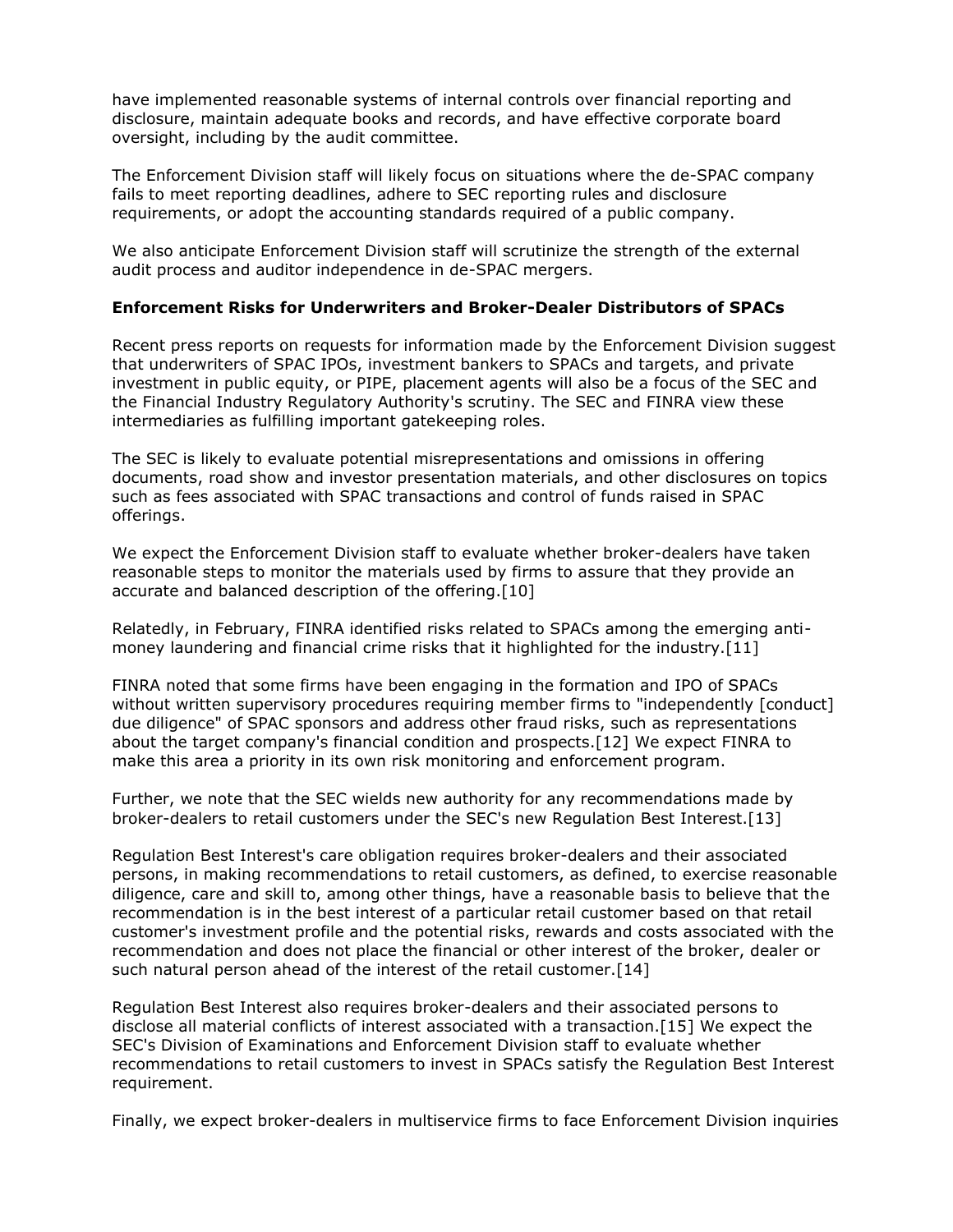have implemented reasonable systems of internal controls over financial reporting and disclosure, maintain adequate books and records, and have effective corporate board oversight, including by the audit committee.

The Enforcement Division staff will likely focus on situations where the de-SPAC company fails to meet reporting deadlines, adhere to SEC reporting rules and disclosure requirements, or adopt the accounting standards required of a public company.

We also anticipate Enforcement Division staff will scrutinize the strength of the external audit process and auditor independence in de-SPAC mergers.

## **Enforcement Risks for Underwriters and Broker-Dealer Distributors of SPACs**

Recent press reports on requests for information made by the Enforcement Division suggest that underwriters of SPAC IPOs, investment bankers to SPACs and targets, and private investment in public equity, or PIPE, placement agents will also be a focus of the SEC and the [Financial Industry Regulatory Authority'](https://www.law360.com/companies/financial-industry-regulatory-authority-inc)s scrutiny. The SEC and FINRA view these intermediaries as fulfilling important gatekeeping roles.

The SEC is likely to evaluate potential misrepresentations and omissions in offering documents, road show and investor presentation materials, and other disclosures on topics such as fees associated with SPAC transactions and control of funds raised in SPAC offerings.

We expect the Enforcement Division staff to evaluate whether broker-dealers have taken reasonable steps to monitor the materials used by firms to assure that they provide an accurate and balanced description of the offering.[10]

Relatedly, in February, FINRA identified risks related to SPACs among the emerging antimoney laundering and financial crime risks that it highlighted for the industry.[11]

FINRA noted that some firms have been engaging in the formation and IPO of SPACs without written supervisory procedures requiring member firms to "independently [conduct] due diligence" of SPAC sponsors and address other fraud risks, such as representations about the target company's financial condition and prospects.[12] We expect FINRA to make this area a priority in its own risk monitoring and enforcement program.

Further, we note that the SEC wields new authority for any recommendations made by broker-dealers to retail customers under the SEC's new Regulation Best Interest.[13]

Regulation Best Interest's care obligation requires broker-dealers and their associated persons, in making recommendations to retail customers, as defined, to exercise reasonable diligence, care and skill to, among other things, have a reasonable basis to believe that the recommendation is in the best interest of a particular retail customer based on that retail customer's investment profile and the potential risks, rewards and costs associated with the recommendation and does not place the financial or other interest of the broker, dealer or such natural person ahead of the interest of the retail customer.[14]

Regulation Best Interest also requires broker-dealers and their associated persons to disclose all material conflicts of interest associated with a transaction.[15] We expect the SEC's Division of Examinations and Enforcement Division staff to evaluate whether recommendations to retail customers to invest in SPACs satisfy the Regulation Best Interest requirement.

Finally, we expect broker-dealers in multiservice firms to face Enforcement Division inquiries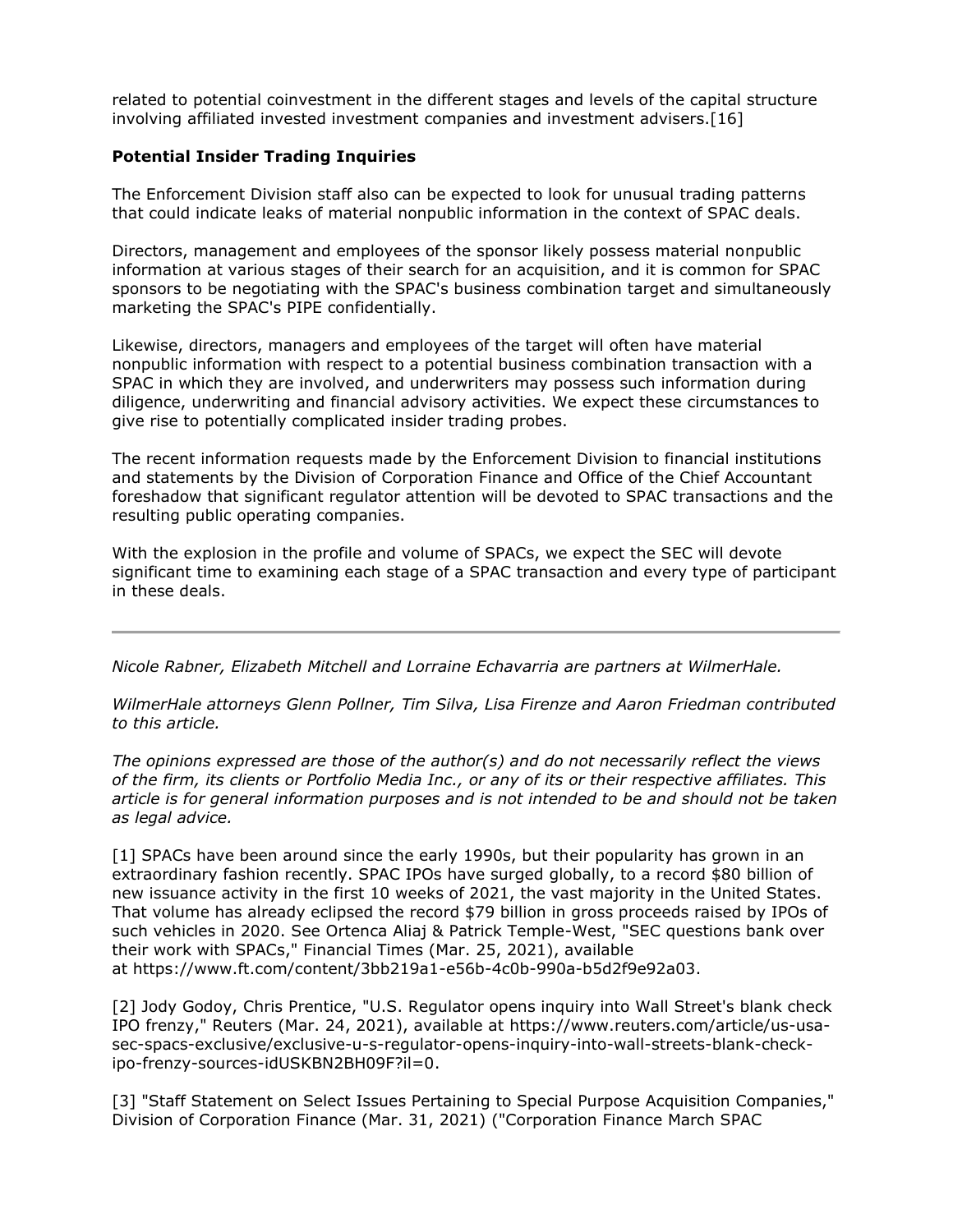related to potential coinvestment in the different stages and levels of the capital structure involving affiliated invested investment companies and investment advisers.[16]

## **Potential Insider Trading Inquiries**

The Enforcement Division staff also can be expected to look for unusual trading patterns that could indicate leaks of material nonpublic information in the context of SPAC deals.

Directors, management and employees of the sponsor likely possess material nonpublic information at various stages of their search for an acquisition, and it is common for SPAC sponsors to be negotiating with the SPAC's business combination target and simultaneously marketing the SPAC's PIPE confidentially.

Likewise, directors, managers and employees of the target will often have material nonpublic information with respect to a potential business combination transaction with a SPAC in which they are involved, and underwriters may possess such information during diligence, underwriting and financial advisory activities. We expect these circumstances to give rise to potentially complicated insider trading probes.

The recent information requests made by the Enforcement Division to financial institutions and statements by the Division of Corporation Finance and Office of the Chief Accountant foreshadow that significant regulator attention will be devoted to SPAC transactions and the resulting public operating companies.

With the explosion in the profile and volume of SPACs, we expect the SEC will devote significant time to examining each stage of a SPAC transaction and every type of participant in these deals.

*[Nicole Rabner,](https://www.wilmerhale.com/en/people/nicole-rabner) [Elizabeth Mitchell](https://www.wilmerhale.com/en/people/elizabeth-mitchell) and [Lorraine Echavarria](https://www.wilmerhale.com/en/people/lori-echavarria) are partners at [WilmerHale.](https://www.law360.com/firms/wilmer-hale)*

*WilmerHale attorneys Glenn Pollner, Tim Silva, Lisa Firenze and Aaron Friedman contributed to this article.*

*The opinions expressed are those of the author(s) and do not necessarily reflect the views of the firm, its clients or Portfolio Media Inc., or any of its or their respective affiliates. This article is for general information purposes and is not intended to be and should not be taken as legal advice.*

[1] SPACs have been around since the early 1990s, but their popularity has grown in an extraordinary fashion recently. SPAC IPOs have surged globally, to a record \$80 billion of new issuance activity in the first 10 weeks of 2021, the vast majority in the United States. That volume has already eclipsed the record \$79 billion in gross proceeds raised by IPOs of such vehicles in 2020. See Ortenca Aliaj & Patrick Temple-West, "SEC questions bank over their work with SPACs," Financial Times (Mar. 25, 2021), available at [https://www.ft.com/content/3bb219a1-e56b-4c0b-990a-b5d2f9e92a03.](https://www.ft.com/content/3bb219a1-e56b-4c0b-990a-b5d2f9e92a03)

[2] Jody Godoy, Chris Prentice, "U.S. Regulator opens inquiry into Wall Street's blank check IPO frenzy," Reuters (Mar. 24, 2021), available at [https://www.reuters.com/article/us-usa](https://www.reuters.com/article/us-usa-sec-spacs-exclusive/exclusive-u-s-regulator-opens-inquiry-into-wall-streets-blank-check-ipo-frenzy-sources-idUSKBN2BH09F?il=0)[sec-spacs-exclusive/exclusive-u-s-regulator-opens-inquiry-into-wall-streets-blank-check](https://www.reuters.com/article/us-usa-sec-spacs-exclusive/exclusive-u-s-regulator-opens-inquiry-into-wall-streets-blank-check-ipo-frenzy-sources-idUSKBN2BH09F?il=0)[ipo-frenzy-sources-idUSKBN2BH09F?il=0.](https://www.reuters.com/article/us-usa-sec-spacs-exclusive/exclusive-u-s-regulator-opens-inquiry-into-wall-streets-blank-check-ipo-frenzy-sources-idUSKBN2BH09F?il=0)

[3] "Staff Statement on Select Issues Pertaining to Special Purpose Acquisition Companies," Division of Corporation Finance (Mar. 31, 2021) ("Corporation Finance March SPAC